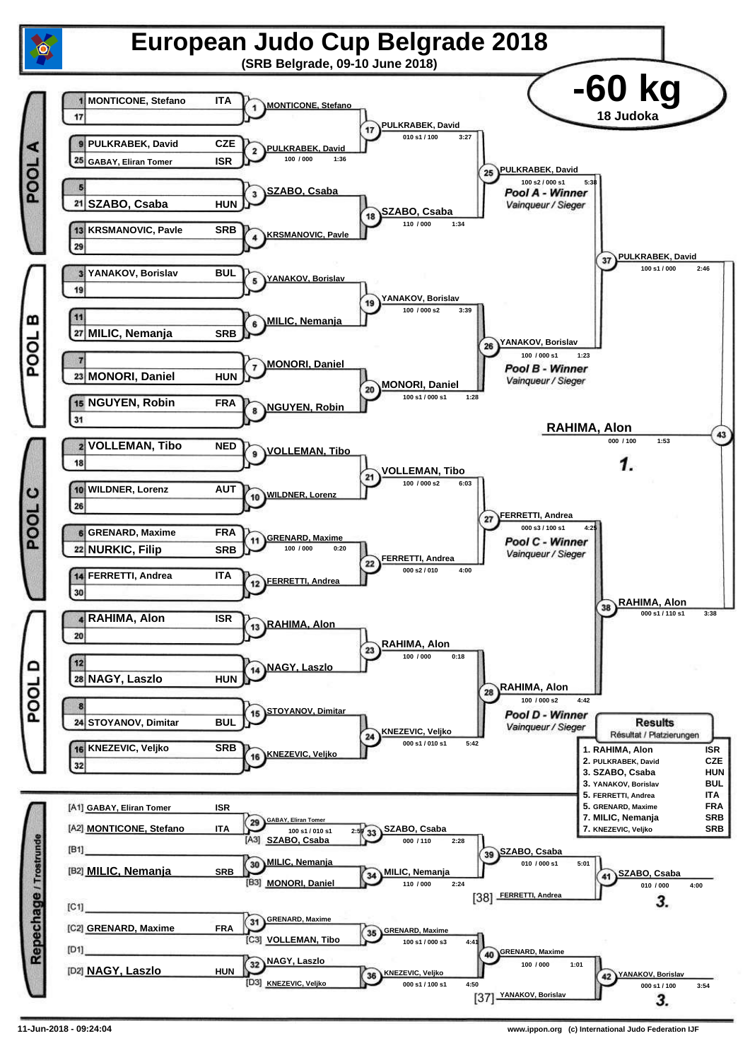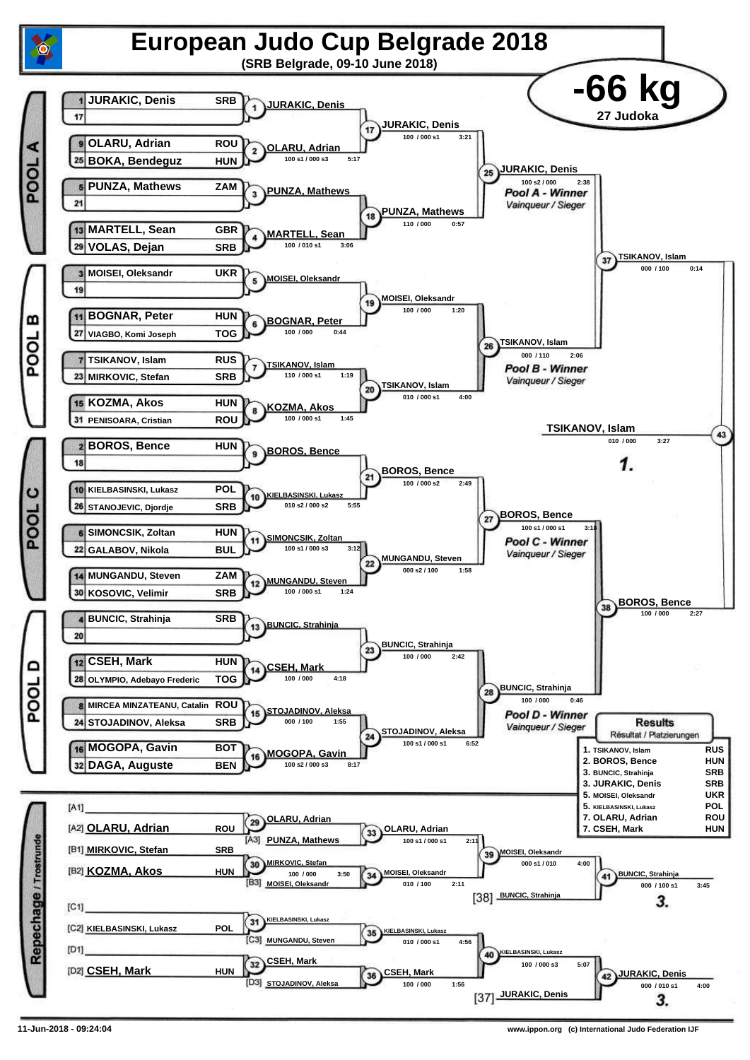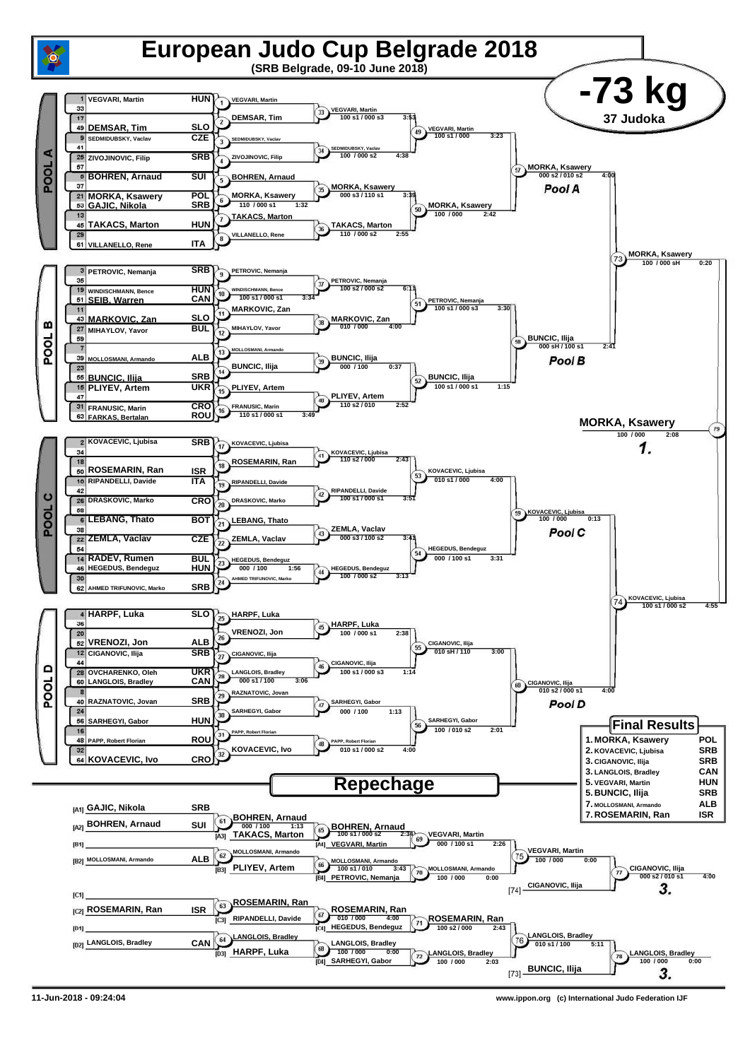

**11-Jun-2018 - 09:24:04 www.ippon.org (c) International Judo Federation IJF**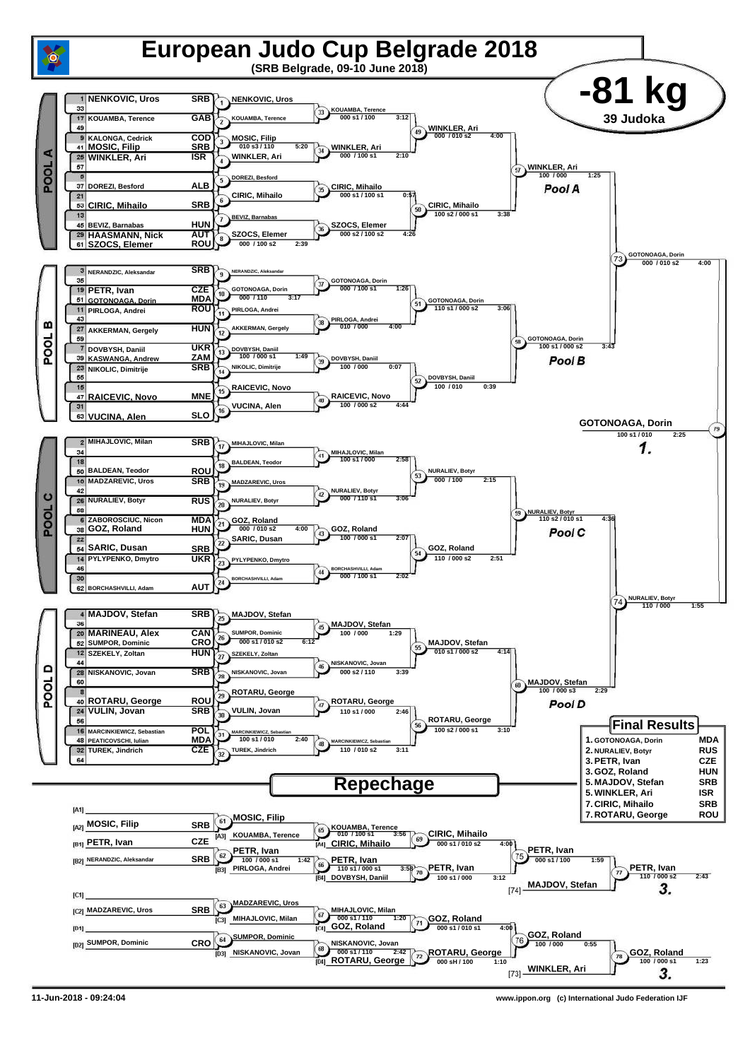

**11-Jun-2018 - 09:24:04 www.ippon.org (c) International Judo Federation IJF**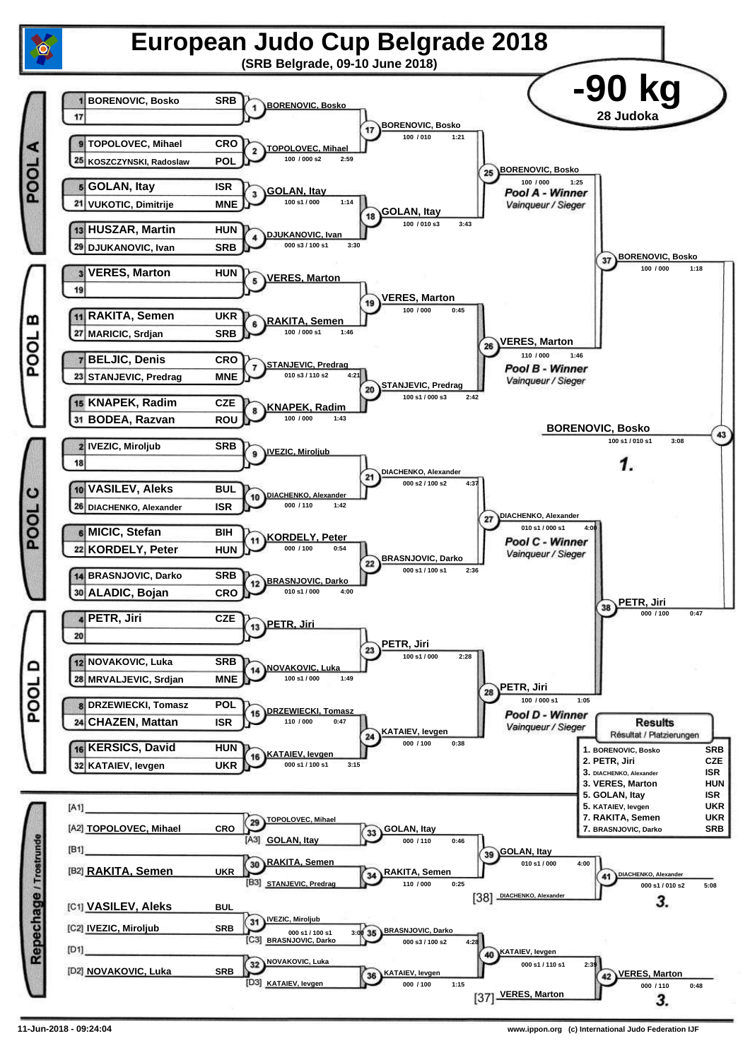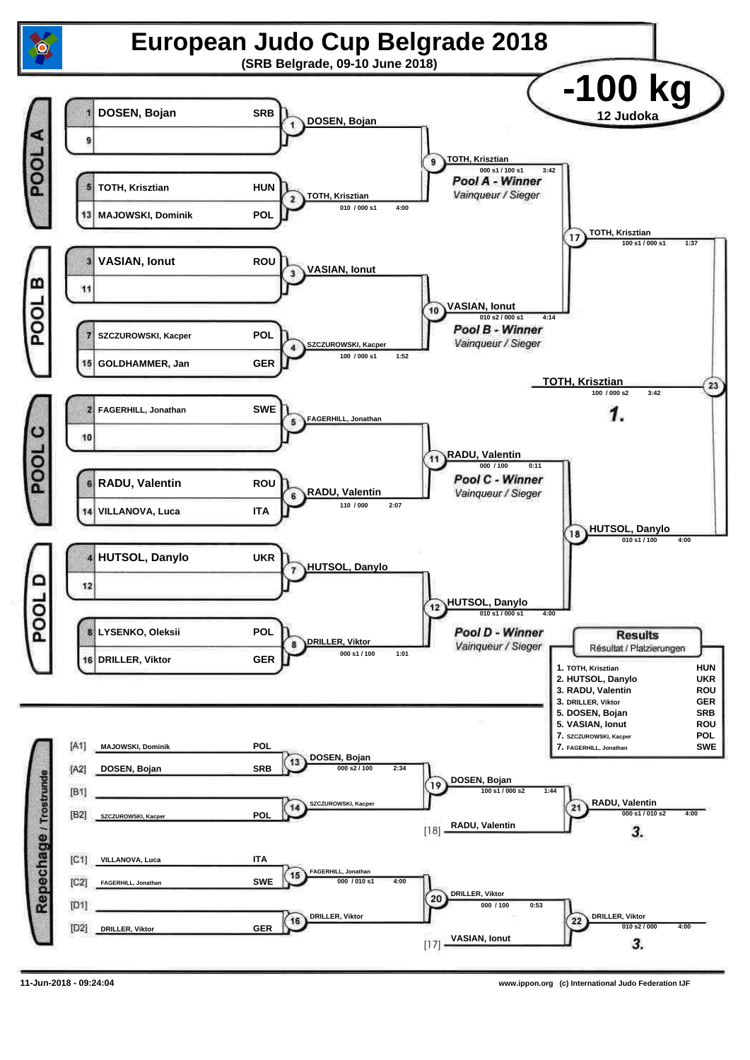